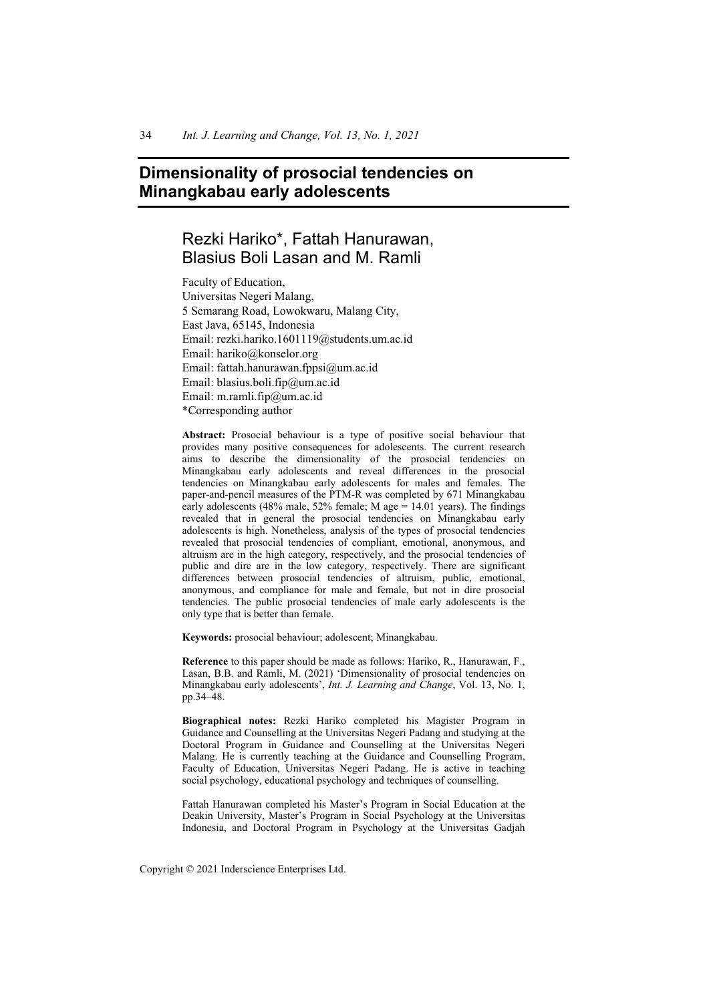# **Dimensionality of prosocial tendencies on Minangkabau early adolescents**

# Rezki Hariko\*, Fattah Hanurawan, Blasius Boli Lasan and M. Ramli

Faculty of Education, Universitas Negeri Malang, 5 Semarang Road, Lowokwaru, Malang City, East Java, 65145, Indonesia Email: rezki.hariko.1601119@students.um.ac.id Email: hariko@konselor.org Email: fattah.hanurawan.fppsi@um.ac.id Email: blasius.boli.fip@um.ac.id Email: m.ramli.fip@um.ac.id \*Corresponding author

**Abstract:** Prosocial behaviour is a type of positive social behaviour that provides many positive consequences for adolescents. The current research aims to describe the dimensionality of the prosocial tendencies on Minangkabau early adolescents and reveal differences in the prosocial tendencies on Minangkabau early adolescents for males and females. The paper-and-pencil measures of the PTM-R was completed by 671 Minangkabau early adolescents (48% male, 52% female; M age  $= 14.01$  years). The findings revealed that in general the prosocial tendencies on Minangkabau early adolescents is high. Nonetheless, analysis of the types of prosocial tendencies revealed that prosocial tendencies of compliant, emotional, anonymous, and altruism are in the high category, respectively, and the prosocial tendencies of public and dire are in the low category, respectively. There are significant differences between prosocial tendencies of altruism, public, emotional, anonymous, and compliance for male and female, but not in dire prosocial tendencies. The public prosocial tendencies of male early adolescents is the only type that is better than female.

**Keywords:** prosocial behaviour; adolescent; Minangkabau.

**Reference** to this paper should be made as follows: Hariko, R., Hanurawan, F., Lasan, B.B. and Ramli, M. (2021) 'Dimensionality of prosocial tendencies on Minangkabau early adolescents', *Int. J. Learning and Change*, Vol. 13, No. 1, pp.34–48.

**Biographical notes:** Rezki Hariko completed his Magister Program in Guidance and Counselling at the Universitas Negeri Padang and studying at the Doctoral Program in Guidance and Counselling at the Universitas Negeri Malang. He is currently teaching at the Guidance and Counselling Program, Faculty of Education, Universitas Negeri Padang. He is active in teaching social psychology, educational psychology and techniques of counselling.

Fattah Hanurawan completed his Master's Program in Social Education at the Deakin University, Master's Program in Social Psychology at the Universitas Indonesia, and Doctoral Program in Psychology at the Universitas Gadjah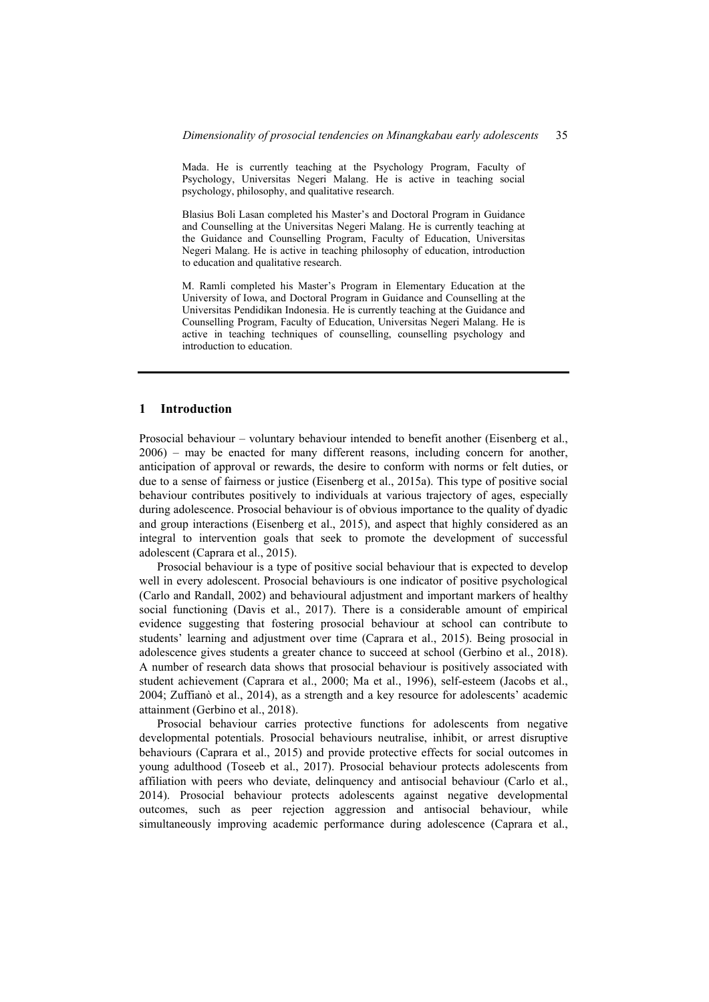Mada. He is currently teaching at the Psychology Program, Faculty of Psychology, Universitas Negeri Malang. He is active in teaching social psychology, philosophy, and qualitative research.

Blasius Boli Lasan completed his Master's and Doctoral Program in Guidance and Counselling at the Universitas Negeri Malang. He is currently teaching at the Guidance and Counselling Program, Faculty of Education, Universitas Negeri Malang. He is active in teaching philosophy of education, introduction to education and qualitative research.

M. Ramli completed his Master's Program in Elementary Education at the University of Iowa, and Doctoral Program in Guidance and Counselling at the Universitas Pendidikan Indonesia. He is currently teaching at the Guidance and Counselling Program, Faculty of Education, Universitas Negeri Malang. He is active in teaching techniques of counselling, counselling psychology and introduction to education.

#### **1 Introduction**

Prosocial behaviour – voluntary behaviour intended to benefit another (Eisenberg et al., 2006) – may be enacted for many different reasons, including concern for another, anticipation of approval or rewards, the desire to conform with norms or felt duties, or due to a sense of fairness or justice (Eisenberg et al., 2015a). This type of positive social behaviour contributes positively to individuals at various trajectory of ages, especially during adolescence. Prosocial behaviour is of obvious importance to the quality of dyadic and group interactions (Eisenberg et al., 2015), and aspect that highly considered as an integral to intervention goals that seek to promote the development of successful adolescent (Caprara et al., 2015).

Prosocial behaviour is a type of positive social behaviour that is expected to develop well in every adolescent. Prosocial behaviours is one indicator of positive psychological (Carlo and Randall, 2002) and behavioural adjustment and important markers of healthy social functioning (Davis et al., 2017). There is a considerable amount of empirical evidence suggesting that fostering prosocial behaviour at school can contribute to students' learning and adjustment over time (Caprara et al., 2015). Being prosocial in adolescence gives students a greater chance to succeed at school (Gerbino et al., 2018). A number of research data shows that prosocial behaviour is positively associated with student achievement (Caprara et al., 2000; Ma et al., 1996), self-esteem (Jacobs et al., 2004; Zuffianò et al., 2014), as a strength and a key resource for adolescents' academic attainment (Gerbino et al., 2018).

Prosocial behaviour carries protective functions for adolescents from negative developmental potentials. Prosocial behaviours neutralise, inhibit, or arrest disruptive behaviours (Caprara et al., 2015) and provide protective effects for social outcomes in young adulthood (Toseeb et al., 2017). Prosocial behaviour protects adolescents from affiliation with peers who deviate, delinquency and antisocial behaviour (Carlo et al., 2014). Prosocial behaviour protects adolescents against negative developmental outcomes, such as peer rejection aggression and antisocial behaviour, while simultaneously improving academic performance during adolescence (Caprara et al.,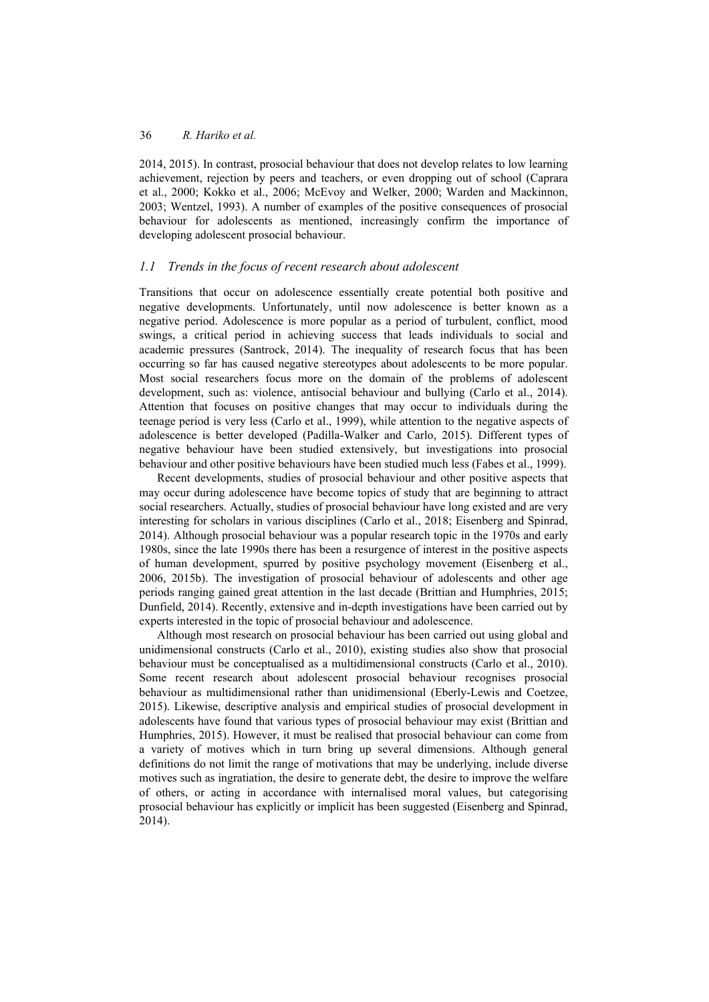2014, 2015). In contrast, prosocial behaviour that does not develop relates to low learning achievement, rejection by peers and teachers, or even dropping out of school (Caprara et al., 2000; Kokko et al., 2006; McEvoy and Welker, 2000; Warden and Mackinnon, 2003; Wentzel, 1993). A number of examples of the positive consequences of prosocial behaviour for adolescents as mentioned, increasingly confirm the importance of developing adolescent prosocial behaviour.

#### *1.1 Trends in the focus of recent research about adolescent*

Transitions that occur on adolescence essentially create potential both positive and negative developments. Unfortunately, until now adolescence is better known as a negative period. Adolescence is more popular as a period of turbulent, conflict, mood swings, a critical period in achieving success that leads individuals to social and academic pressures (Santrock, 2014). The inequality of research focus that has been occurring so far has caused negative stereotypes about adolescents to be more popular. Most social researchers focus more on the domain of the problems of adolescent development, such as: violence, antisocial behaviour and bullying (Carlo et al., 2014). Attention that focuses on positive changes that may occur to individuals during the teenage period is very less (Carlo et al., 1999), while attention to the negative aspects of adolescence is better developed (Padilla-Walker and Carlo, 2015). Different types of negative behaviour have been studied extensively, but investigations into prosocial behaviour and other positive behaviours have been studied much less (Fabes et al., 1999).

Recent developments, studies of prosocial behaviour and other positive aspects that may occur during adolescence have become topics of study that are beginning to attract social researchers. Actually, studies of prosocial behaviour have long existed and are very interesting for scholars in various disciplines (Carlo et al., 2018; Eisenberg and Spinrad, 2014). Although prosocial behaviour was a popular research topic in the 1970s and early 1980s, since the late 1990s there has been a resurgence of interest in the positive aspects of human development, spurred by positive psychology movement (Eisenberg et al., 2006, 2015b). The investigation of prosocial behaviour of adolescents and other age periods ranging gained great attention in the last decade (Brittian and Humphries, 2015; Dunfield, 2014). Recently, extensive and in-depth investigations have been carried out by experts interested in the topic of prosocial behaviour and adolescence.

Although most research on prosocial behaviour has been carried out using global and unidimensional constructs (Carlo et al., 2010), existing studies also show that prosocial behaviour must be conceptualised as a multidimensional constructs (Carlo et al., 2010). Some recent research about adolescent prosocial behaviour recognises prosocial behaviour as multidimensional rather than unidimensional (Eberly-Lewis and Coetzee, 2015). Likewise, descriptive analysis and empirical studies of prosocial development in adolescents have found that various types of prosocial behaviour may exist (Brittian and Humphries, 2015). However, it must be realised that prosocial behaviour can come from a variety of motives which in turn bring up several dimensions. Although general definitions do not limit the range of motivations that may be underlying, include diverse motives such as ingratiation, the desire to generate debt, the desire to improve the welfare of others, or acting in accordance with internalised moral values, but categorising prosocial behaviour has explicitly or implicit has been suggested (Eisenberg and Spinrad, 2014).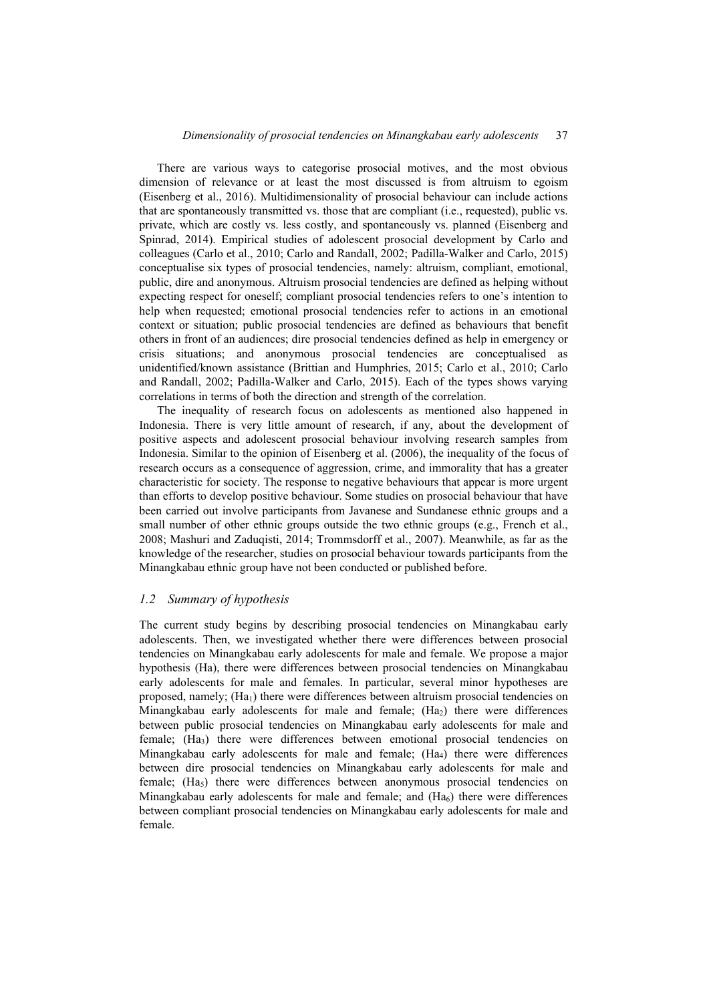There are various ways to categorise prosocial motives, and the most obvious dimension of relevance or at least the most discussed is from altruism to egoism (Eisenberg et al., 2016). Multidimensionality of prosocial behaviour can include actions that are spontaneously transmitted vs. those that are compliant (i.e., requested), public vs. private, which are costly vs. less costly, and spontaneously vs. planned (Eisenberg and Spinrad, 2014). Empirical studies of adolescent prosocial development by Carlo and colleagues (Carlo et al., 2010; Carlo and Randall, 2002; Padilla-Walker and Carlo, 2015) conceptualise six types of prosocial tendencies, namely: altruism, compliant, emotional, public, dire and anonymous. Altruism prosocial tendencies are defined as helping without expecting respect for oneself; compliant prosocial tendencies refers to one's intention to help when requested; emotional prosocial tendencies refer to actions in an emotional context or situation; public prosocial tendencies are defined as behaviours that benefit others in front of an audiences; dire prosocial tendencies defined as help in emergency or crisis situations; and anonymous prosocial tendencies are conceptualised as unidentified/known assistance (Brittian and Humphries, 2015; Carlo et al., 2010; Carlo and Randall, 2002; Padilla-Walker and Carlo, 2015). Each of the types shows varying correlations in terms of both the direction and strength of the correlation.

The inequality of research focus on adolescents as mentioned also happened in Indonesia. There is very little amount of research, if any, about the development of positive aspects and adolescent prosocial behaviour involving research samples from Indonesia. Similar to the opinion of Eisenberg et al. (2006), the inequality of the focus of research occurs as a consequence of aggression, crime, and immorality that has a greater characteristic for society. The response to negative behaviours that appear is more urgent than efforts to develop positive behaviour. Some studies on prosocial behaviour that have been carried out involve participants from Javanese and Sundanese ethnic groups and a small number of other ethnic groups outside the two ethnic groups (e.g., French et al., 2008; Mashuri and Zaduqisti, 2014; Trommsdorff et al., 2007). Meanwhile, as far as the knowledge of the researcher, studies on prosocial behaviour towards participants from the Minangkabau ethnic group have not been conducted or published before.

#### *1.2 Summary of hypothesis*

The current study begins by describing prosocial tendencies on Minangkabau early adolescents. Then, we investigated whether there were differences between prosocial tendencies on Minangkabau early adolescents for male and female. We propose a major hypothesis (Ha), there were differences between prosocial tendencies on Minangkabau early adolescents for male and females. In particular, several minor hypotheses are proposed, namely;  $(Ha<sub>1</sub>)$  there were differences between altruism prosocial tendencies on Minangkabau early adolescents for male and female; (Ha<sub>2</sub>) there were differences between public prosocial tendencies on Minangkabau early adolescents for male and female; (Ha3) there were differences between emotional prosocial tendencies on Minangkabau early adolescents for male and female; (Ha4) there were differences between dire prosocial tendencies on Minangkabau early adolescents for male and female; (Ha<sub>5</sub>) there were differences between anonymous prosocial tendencies on Minangkabau early adolescents for male and female; and  $(Ha<sub>6</sub>)$  there were differences between compliant prosocial tendencies on Minangkabau early adolescents for male and female.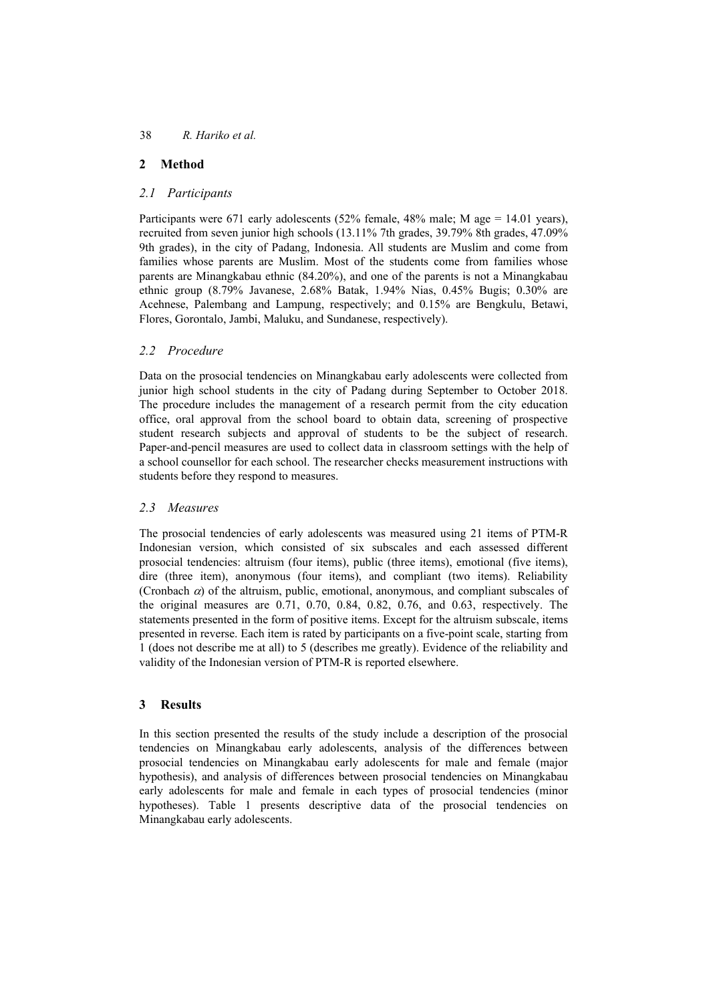## **2 Method**

### *2.1 Participants*

Participants were 671 early adolescents (52% female, 48% male; M age = 14.01 years), recruited from seven junior high schools (13.11% 7th grades, 39.79% 8th grades, 47.09% 9th grades), in the city of Padang, Indonesia. All students are Muslim and come from families whose parents are Muslim. Most of the students come from families whose parents are Minangkabau ethnic (84.20%), and one of the parents is not a Minangkabau ethnic group (8.79% Javanese, 2.68% Batak, 1.94% Nias, 0.45% Bugis; 0.30% are Acehnese, Palembang and Lampung, respectively; and 0.15% are Bengkulu, Betawi, Flores, Gorontalo, Jambi, Maluku, and Sundanese, respectively).

### *2.2 Procedure*

Data on the prosocial tendencies on Minangkabau early adolescents were collected from junior high school students in the city of Padang during September to October 2018. The procedure includes the management of a research permit from the city education office, oral approval from the school board to obtain data, screening of prospective student research subjects and approval of students to be the subject of research. Paper-and-pencil measures are used to collect data in classroom settings with the help of a school counsellor for each school. The researcher checks measurement instructions with students before they respond to measures.

#### *2.3 Measures*

The prosocial tendencies of early adolescents was measured using 21 items of PTM-R Indonesian version, which consisted of six subscales and each assessed different prosocial tendencies: altruism (four items), public (three items), emotional (five items), dire (three item), anonymous (four items), and compliant (two items). Reliability (Cronbach  $\alpha$ ) of the altruism, public, emotional, anonymous, and compliant subscales of the original measures are 0.71, 0.70, 0.84, 0.82, 0.76, and 0.63, respectively. The statements presented in the form of positive items. Except for the altruism subscale, items presented in reverse. Each item is rated by participants on a five-point scale, starting from 1 (does not describe me at all) to 5 (describes me greatly). Evidence of the reliability and validity of the Indonesian version of PTM-R is reported elsewhere.

## **3 Results**

In this section presented the results of the study include a description of the prosocial tendencies on Minangkabau early adolescents, analysis of the differences between prosocial tendencies on Minangkabau early adolescents for male and female (major hypothesis), and analysis of differences between prosocial tendencies on Minangkabau early adolescents for male and female in each types of prosocial tendencies (minor hypotheses). Table 1 presents descriptive data of the prosocial tendencies on Minangkabau early adolescents.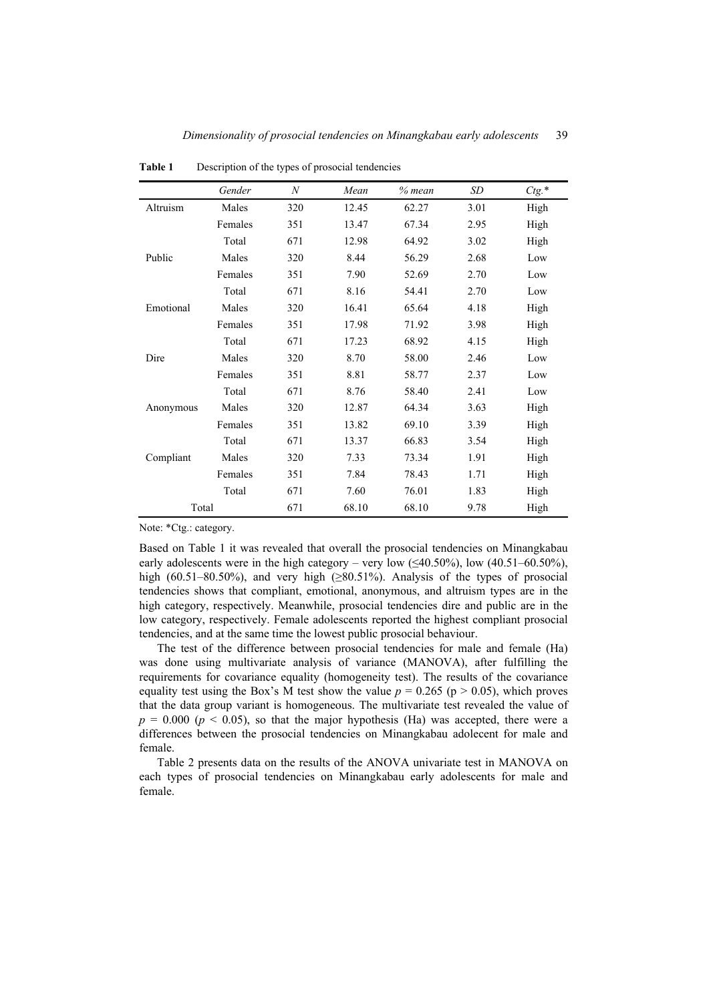|           | Gender  | $\boldsymbol{N}$ | Mean  | $%$ mean | SD   | $Ctg.*$ |
|-----------|---------|------------------|-------|----------|------|---------|
| Altruism  | Males   | 320              | 12.45 | 62.27    | 3.01 | High    |
|           | Females | 351              | 13.47 | 67.34    | 2.95 | High    |
|           | Total   | 671              | 12.98 | 64.92    | 3.02 | High    |
| Public    | Males   | 320              | 8.44  | 56.29    | 2.68 | Low     |
|           | Females | 351              | 7.90  | 52.69    | 2.70 | Low     |
|           | Total   | 671              | 8.16  | 54.41    | 2.70 | Low     |
| Emotional | Males   | 320              | 16.41 | 65.64    | 4.18 | High    |
|           | Females | 351              | 17.98 | 71.92    | 3.98 | High    |
|           | Total   | 671              | 17.23 | 68.92    | 4.15 | High    |
| Dire      | Males   | 320              | 8.70  | 58.00    | 2.46 | Low     |
|           | Females | 351              | 8.81  | 58.77    | 2.37 | Low     |
|           | Total   | 671              | 8.76  | 58.40    | 2.41 | Low     |
| Anonymous | Males   | 320              | 12.87 | 64.34    | 3.63 | High    |
|           | Females | 351              | 13.82 | 69.10    | 3.39 | High    |
|           | Total   | 671              | 13.37 | 66.83    | 3.54 | High    |
| Compliant | Males   | 320              | 7.33  | 73.34    | 1.91 | High    |
|           | Females | 351              | 7.84  | 78.43    | 1.71 | High    |
|           | Total   | 671              | 7.60  | 76.01    | 1.83 | High    |
| Total     |         | 671              | 68.10 | 68.10    | 9.78 | High    |

**Table 1** Description of the types of prosocial tendencies

Note: \*Ctg.: category.

Based on Table 1 it was revealed that overall the prosocial tendencies on Minangkabau early adolescents were in the high category – very low  $(\leq 40.50\%)$ , low  $(40.51-60.50\%)$ , high (60.51–80.50%), and very high (≥80.51%). Analysis of the types of prosocial tendencies shows that compliant, emotional, anonymous, and altruism types are in the high category, respectively. Meanwhile, prosocial tendencies dire and public are in the low category, respectively. Female adolescents reported the highest compliant prosocial tendencies, and at the same time the lowest public prosocial behaviour.

The test of the difference between prosocial tendencies for male and female (Ha) was done using multivariate analysis of variance (MANOVA), after fulfilling the requirements for covariance equality (homogeneity test). The results of the covariance equality test using the Box's M test show the value  $p = 0.265$  ( $p > 0.05$ ), which proves that the data group variant is homogeneous. The multivariate test revealed the value of  $p = 0.000$  ( $p < 0.05$ ), so that the major hypothesis (Ha) was accepted, there were a differences between the prosocial tendencies on Minangkabau adolecent for male and female.

Table 2 presents data on the results of the ANOVA univariate test in MANOVA on each types of prosocial tendencies on Minangkabau early adolescents for male and female.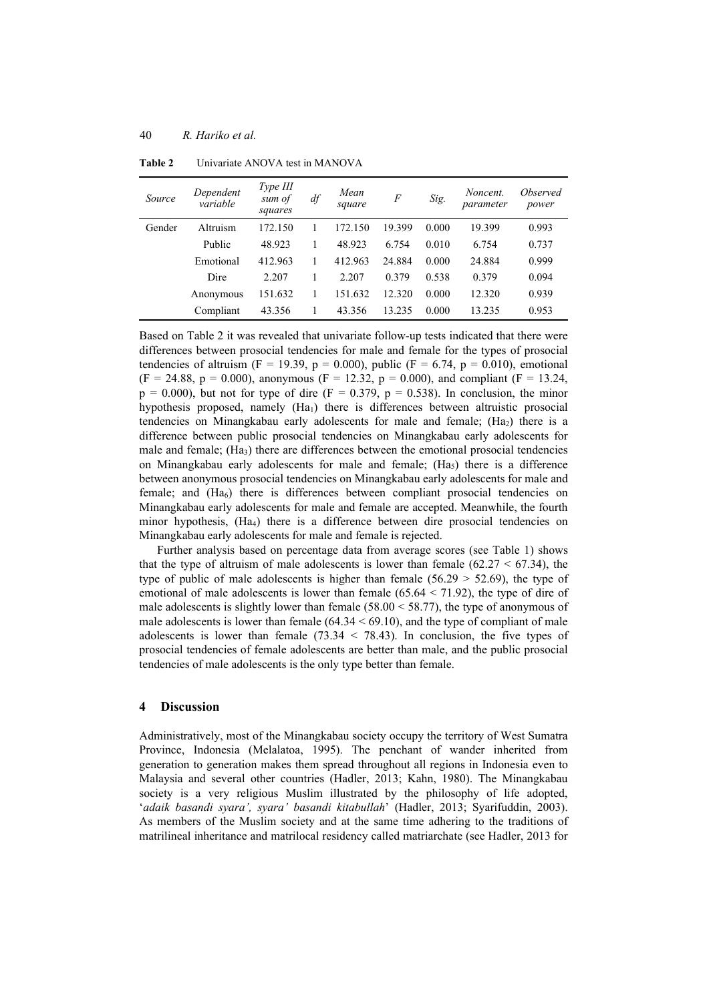| Source | Dependent<br>variable | Type III<br>sum of<br>squares | df | Mean<br>square | $\boldsymbol{F}$ | Sig.  | Noncent.<br>parameter | <i>Observed</i><br>power |
|--------|-----------------------|-------------------------------|----|----------------|------------------|-------|-----------------------|--------------------------|
| Gender | Altruism              | 172.150                       |    | 172.150        | 19.399           | 0.000 | 19.399                | 0.993                    |
|        | Public                | 48.923                        |    | 48.923         | 6.754            | 0.010 | 6.754                 | 0.737                    |
|        | Emotional             | 412.963                       |    | 412.963        | 24.884           | 0.000 | 24.884                | 0.999                    |
|        | Dire                  | 2.207                         |    | 2.207          | 0.379            | 0.538 | 0.379                 | 0.094                    |
|        | Anonymous             | 151.632                       |    | 151.632        | 12.320           | 0.000 | 12.320                | 0.939                    |
|        | Compliant             | 43.356                        |    | 43.356         | 13.235           | 0.000 | 13.235                | 0.953                    |

**Table 2** Univariate ANOVA test in MANOVA

Based on Table 2 it was revealed that univariate follow-up tests indicated that there were differences between prosocial tendencies for male and female for the types of prosocial tendencies of altruism (F = 19.39, p = 0.000), public (F = 6.74, p = 0.010), emotional  $(F = 24.88, p = 0.000)$ , anonymous  $(F = 12.32, p = 0.000)$ , and compliant  $(F = 13.24, p = 0.000)$  $p = 0.000$ , but not for type of dire (F = 0.379,  $p = 0.538$ ). In conclusion, the minor hypothesis proposed, namely (Ha<sub>1</sub>) there is differences between altruistic prosocial tendencies on Minangkabau early adolescents for male and female; (Ha<sub>2</sub>) there is a difference between public prosocial tendencies on Minangkabau early adolescents for male and female;  $(Ha<sub>3</sub>)$  there are differences between the emotional prosocial tendencies on Minangkabau early adolescents for male and female;  $(H<sub>3</sub>)$  there is a difference between anonymous prosocial tendencies on Minangkabau early adolescents for male and female; and (Ha<sub>6</sub>) there is differences between compliant prosocial tendencies on Minangkabau early adolescents for male and female are accepted. Meanwhile, the fourth minor hypothesis, (Ha4) there is a difference between dire prosocial tendencies on Minangkabau early adolescents for male and female is rejected.

Further analysis based on percentage data from average scores (see Table 1) shows that the type of altruism of male adolescents is lower than female  $(62.27 < 67.34)$ , the type of public of male adolescents is higher than female  $(56.29 > 52.69)$ , the type of emotional of male adolescents is lower than female  $(65.64 \le 71.92)$ , the type of dire of male adolescents is slightly lower than female  $(58.00 \le 58.77)$ , the type of anonymous of male adolescents is lower than female  $(64.34 \le 69.10)$ , and the type of compliant of male adolescents is lower than female  $(73.34 < 78.43)$ . In conclusion, the five types of prosocial tendencies of female adolescents are better than male, and the public prosocial tendencies of male adolescents is the only type better than female.

#### **4 Discussion**

Administratively, most of the Minangkabau society occupy the territory of West Sumatra Province, Indonesia (Melalatoa, 1995). The penchant of wander inherited from generation to generation makes them spread throughout all regions in Indonesia even to Malaysia and several other countries (Hadler, 2013; Kahn, 1980). The Minangkabau society is a very religious Muslim illustrated by the philosophy of life adopted, '*adaik basandi syara', syara' basandi kitabullah*' (Hadler, 2013; Syarifuddin, 2003). As members of the Muslim society and at the same time adhering to the traditions of matrilineal inheritance and matrilocal residency called matriarchate (see Hadler, 2013 for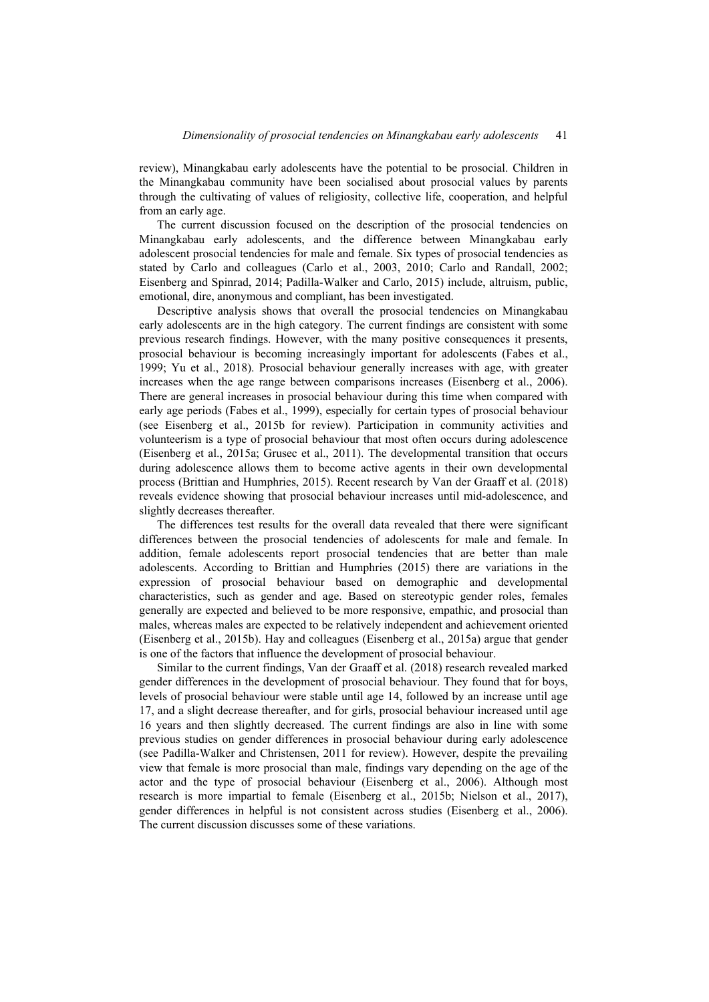review), Minangkabau early adolescents have the potential to be prosocial. Children in the Minangkabau community have been socialised about prosocial values by parents through the cultivating of values of religiosity, collective life, cooperation, and helpful from an early age.

The current discussion focused on the description of the prosocial tendencies on Minangkabau early adolescents, and the difference between Minangkabau early adolescent prosocial tendencies for male and female. Six types of prosocial tendencies as stated by Carlo and colleagues (Carlo et al., 2003, 2010; Carlo and Randall, 2002; Eisenberg and Spinrad, 2014; Padilla-Walker and Carlo, 2015) include, altruism, public, emotional, dire, anonymous and compliant, has been investigated.

Descriptive analysis shows that overall the prosocial tendencies on Minangkabau early adolescents are in the high category. The current findings are consistent with some previous research findings. However, with the many positive consequences it presents, prosocial behaviour is becoming increasingly important for adolescents (Fabes et al., 1999; Yu et al., 2018). Prosocial behaviour generally increases with age, with greater increases when the age range between comparisons increases (Eisenberg et al., 2006). There are general increases in prosocial behaviour during this time when compared with early age periods (Fabes et al., 1999), especially for certain types of prosocial behaviour (see Eisenberg et al., 2015b for review). Participation in community activities and volunteerism is a type of prosocial behaviour that most often occurs during adolescence (Eisenberg et al., 2015a; Grusec et al., 2011). The developmental transition that occurs during adolescence allows them to become active agents in their own developmental process (Brittian and Humphries, 2015). Recent research by Van der Graaff et al. (2018) reveals evidence showing that prosocial behaviour increases until mid-adolescence, and slightly decreases thereafter.

The differences test results for the overall data revealed that there were significant differences between the prosocial tendencies of adolescents for male and female. In addition, female adolescents report prosocial tendencies that are better than male adolescents. According to Brittian and Humphries (2015) there are variations in the expression of prosocial behaviour based on demographic and developmental characteristics, such as gender and age. Based on stereotypic gender roles, females generally are expected and believed to be more responsive, empathic, and prosocial than males, whereas males are expected to be relatively independent and achievement oriented (Eisenberg et al., 2015b). Hay and colleagues (Eisenberg et al., 2015a) argue that gender is one of the factors that influence the development of prosocial behaviour.

Similar to the current findings, Van der Graaff et al. (2018) research revealed marked gender differences in the development of prosocial behaviour. They found that for boys, levels of prosocial behaviour were stable until age 14, followed by an increase until age 17, and a slight decrease thereafter, and for girls, prosocial behaviour increased until age 16 years and then slightly decreased. The current findings are also in line with some previous studies on gender differences in prosocial behaviour during early adolescence (see Padilla-Walker and Christensen, 2011 for review). However, despite the prevailing view that female is more prosocial than male, findings vary depending on the age of the actor and the type of prosocial behaviour (Eisenberg et al., 2006). Although most research is more impartial to female (Eisenberg et al., 2015b; Nielson et al., 2017), gender differences in helpful is not consistent across studies (Eisenberg et al., 2006). The current discussion discusses some of these variations.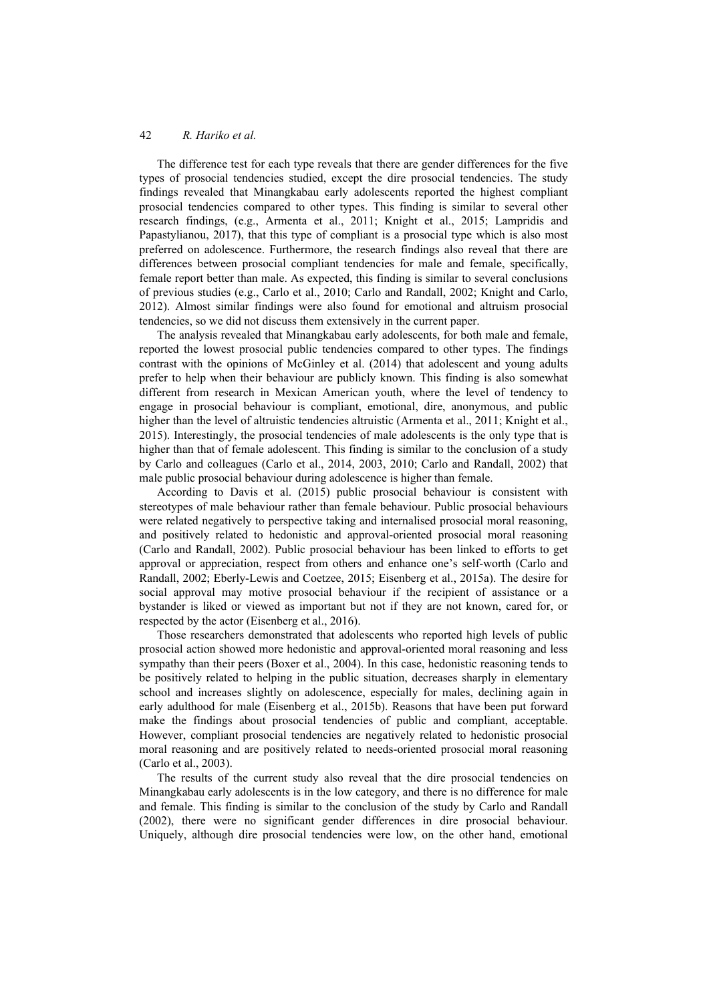The difference test for each type reveals that there are gender differences for the five types of prosocial tendencies studied, except the dire prosocial tendencies. The study findings revealed that Minangkabau early adolescents reported the highest compliant prosocial tendencies compared to other types. This finding is similar to several other research findings, (e.g., Armenta et al., 2011; Knight et al., 2015; Lampridis and Papastylianou, 2017), that this type of compliant is a prosocial type which is also most preferred on adolescence. Furthermore, the research findings also reveal that there are differences between prosocial compliant tendencies for male and female, specifically, female report better than male. As expected, this finding is similar to several conclusions of previous studies (e.g., Carlo et al., 2010; Carlo and Randall, 2002; Knight and Carlo, 2012). Almost similar findings were also found for emotional and altruism prosocial tendencies, so we did not discuss them extensively in the current paper.

The analysis revealed that Minangkabau early adolescents, for both male and female, reported the lowest prosocial public tendencies compared to other types. The findings contrast with the opinions of McGinley et al. (2014) that adolescent and young adults prefer to help when their behaviour are publicly known. This finding is also somewhat different from research in Mexican American youth, where the level of tendency to engage in prosocial behaviour is compliant, emotional, dire, anonymous, and public higher than the level of altruistic tendencies altruistic (Armenta et al., 2011; Knight et al., 2015). Interestingly, the prosocial tendencies of male adolescents is the only type that is higher than that of female adolescent. This finding is similar to the conclusion of a study by Carlo and colleagues (Carlo et al., 2014, 2003, 2010; Carlo and Randall, 2002) that male public prosocial behaviour during adolescence is higher than female.

According to Davis et al. (2015) public prosocial behaviour is consistent with stereotypes of male behaviour rather than female behaviour. Public prosocial behaviours were related negatively to perspective taking and internalised prosocial moral reasoning, and positively related to hedonistic and approval-oriented prosocial moral reasoning (Carlo and Randall, 2002). Public prosocial behaviour has been linked to efforts to get approval or appreciation, respect from others and enhance one's self-worth (Carlo and Randall, 2002; Eberly-Lewis and Coetzee, 2015; Eisenberg et al., 2015a). The desire for social approval may motive prosocial behaviour if the recipient of assistance or a bystander is liked or viewed as important but not if they are not known, cared for, or respected by the actor (Eisenberg et al., 2016).

Those researchers demonstrated that adolescents who reported high levels of public prosocial action showed more hedonistic and approval-oriented moral reasoning and less sympathy than their peers (Boxer et al., 2004). In this case, hedonistic reasoning tends to be positively related to helping in the public situation, decreases sharply in elementary school and increases slightly on adolescence, especially for males, declining again in early adulthood for male (Eisenberg et al., 2015b). Reasons that have been put forward make the findings about prosocial tendencies of public and compliant, acceptable. However, compliant prosocial tendencies are negatively related to hedonistic prosocial moral reasoning and are positively related to needs-oriented prosocial moral reasoning (Carlo et al., 2003).

The results of the current study also reveal that the dire prosocial tendencies on Minangkabau early adolescents is in the low category, and there is no difference for male and female. This finding is similar to the conclusion of the study by Carlo and Randall (2002), there were no significant gender differences in dire prosocial behaviour. Uniquely, although dire prosocial tendencies were low, on the other hand, emotional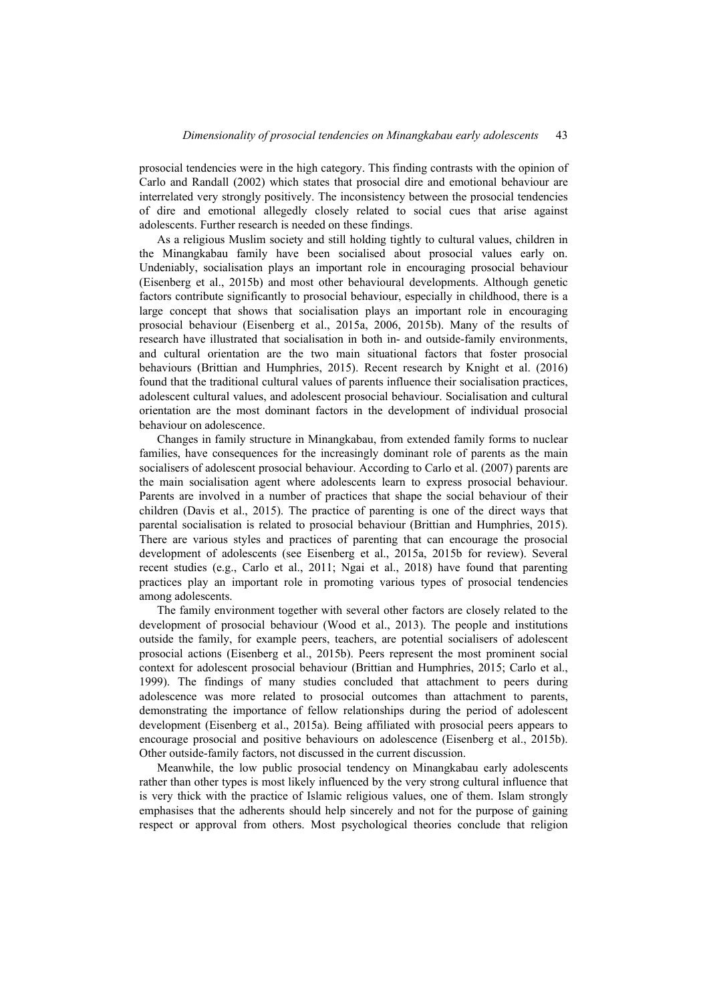prosocial tendencies were in the high category. This finding contrasts with the opinion of Carlo and Randall (2002) which states that prosocial dire and emotional behaviour are interrelated very strongly positively. The inconsistency between the prosocial tendencies of dire and emotional allegedly closely related to social cues that arise against adolescents. Further research is needed on these findings.

As a religious Muslim society and still holding tightly to cultural values, children in the Minangkabau family have been socialised about prosocial values early on. Undeniably, socialisation plays an important role in encouraging prosocial behaviour (Eisenberg et al., 2015b) and most other behavioural developments. Although genetic factors contribute significantly to prosocial behaviour, especially in childhood, there is a large concept that shows that socialisation plays an important role in encouraging prosocial behaviour (Eisenberg et al., 2015a, 2006, 2015b). Many of the results of research have illustrated that socialisation in both in- and outside-family environments, and cultural orientation are the two main situational factors that foster prosocial behaviours (Brittian and Humphries, 2015). Recent research by Knight et al. (2016) found that the traditional cultural values of parents influence their socialisation practices, adolescent cultural values, and adolescent prosocial behaviour. Socialisation and cultural orientation are the most dominant factors in the development of individual prosocial behaviour on adolescence.

Changes in family structure in Minangkabau, from extended family forms to nuclear families, have consequences for the increasingly dominant role of parents as the main socialisers of adolescent prosocial behaviour. According to Carlo et al. (2007) parents are the main socialisation agent where adolescents learn to express prosocial behaviour. Parents are involved in a number of practices that shape the social behaviour of their children (Davis et al., 2015). The practice of parenting is one of the direct ways that parental socialisation is related to prosocial behaviour (Brittian and Humphries, 2015). There are various styles and practices of parenting that can encourage the prosocial development of adolescents (see Eisenberg et al., 2015a, 2015b for review). Several recent studies (e.g., Carlo et al., 2011; Ngai et al., 2018) have found that parenting practices play an important role in promoting various types of prosocial tendencies among adolescents.

The family environment together with several other factors are closely related to the development of prosocial behaviour (Wood et al., 2013). The people and institutions outside the family, for example peers, teachers, are potential socialisers of adolescent prosocial actions (Eisenberg et al., 2015b). Peers represent the most prominent social context for adolescent prosocial behaviour (Brittian and Humphries, 2015; Carlo et al., 1999). The findings of many studies concluded that attachment to peers during adolescence was more related to prosocial outcomes than attachment to parents, demonstrating the importance of fellow relationships during the period of adolescent development (Eisenberg et al., 2015a). Being affiliated with prosocial peers appears to encourage prosocial and positive behaviours on adolescence (Eisenberg et al., 2015b). Other outside-family factors, not discussed in the current discussion.

Meanwhile, the low public prosocial tendency on Minangkabau early adolescents rather than other types is most likely influenced by the very strong cultural influence that is very thick with the practice of Islamic religious values, one of them. Islam strongly emphasises that the adherents should help sincerely and not for the purpose of gaining respect or approval from others. Most psychological theories conclude that religion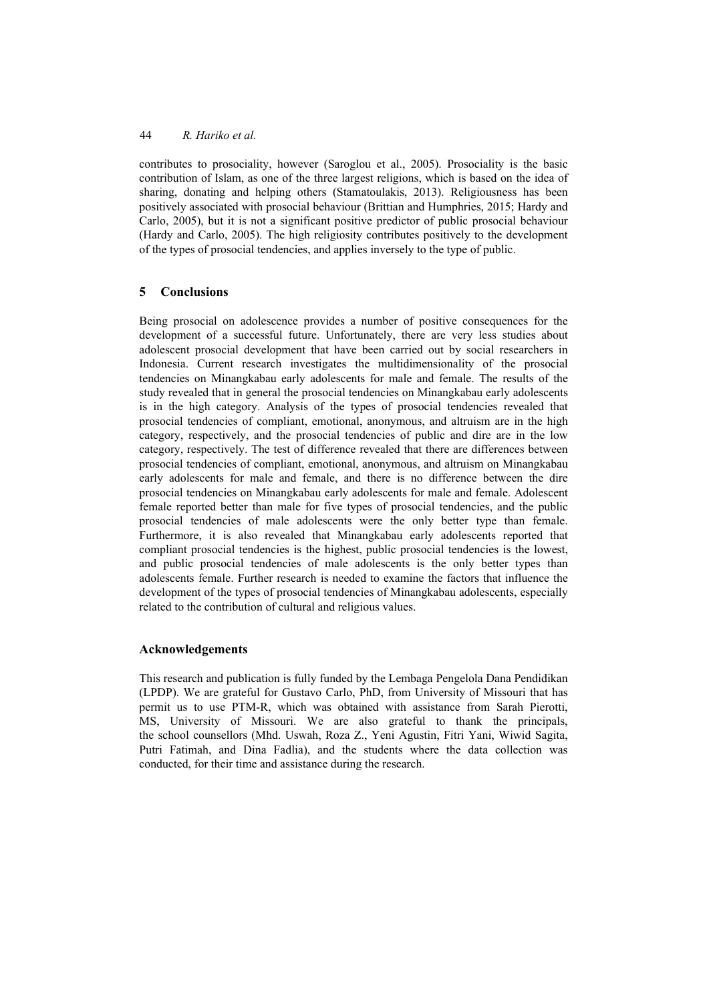contributes to prosociality, however (Saroglou et al., 2005). Prosociality is the basic contribution of Islam, as one of the three largest religions, which is based on the idea of sharing, donating and helping others (Stamatoulakis, 2013). Religiousness has been positively associated with prosocial behaviour (Brittian and Humphries, 2015; Hardy and Carlo, 2005), but it is not a significant positive predictor of public prosocial behaviour (Hardy and Carlo, 2005). The high religiosity contributes positively to the development of the types of prosocial tendencies, and applies inversely to the type of public.

### **5 Conclusions**

Being prosocial on adolescence provides a number of positive consequences for the development of a successful future. Unfortunately, there are very less studies about adolescent prosocial development that have been carried out by social researchers in Indonesia. Current research investigates the multidimensionality of the prosocial tendencies on Minangkabau early adolescents for male and female. The results of the study revealed that in general the prosocial tendencies on Minangkabau early adolescents is in the high category. Analysis of the types of prosocial tendencies revealed that prosocial tendencies of compliant, emotional, anonymous, and altruism are in the high category, respectively, and the prosocial tendencies of public and dire are in the low category, respectively. The test of difference revealed that there are differences between prosocial tendencies of compliant, emotional, anonymous, and altruism on Minangkabau early adolescents for male and female, and there is no difference between the dire prosocial tendencies on Minangkabau early adolescents for male and female. Adolescent female reported better than male for five types of prosocial tendencies, and the public prosocial tendencies of male adolescents were the only better type than female. Furthermore, it is also revealed that Minangkabau early adolescents reported that compliant prosocial tendencies is the highest, public prosocial tendencies is the lowest, and public prosocial tendencies of male adolescents is the only better types than adolescents female. Further research is needed to examine the factors that influence the development of the types of prosocial tendencies of Minangkabau adolescents, especially related to the contribution of cultural and religious values.

#### **Acknowledgements**

This research and publication is fully funded by the Lembaga Pengelola Dana Pendidikan (LPDP). We are grateful for Gustavo Carlo, PhD, from University of Missouri that has permit us to use PTM-R, which was obtained with assistance from Sarah Pierotti, MS, University of Missouri. We are also grateful to thank the principals, the school counsellors (Mhd. Uswah, Roza Z., Yeni Agustin, Fitri Yani, Wiwid Sagita, Putri Fatimah, and Dina Fadlia), and the students where the data collection was conducted, for their time and assistance during the research.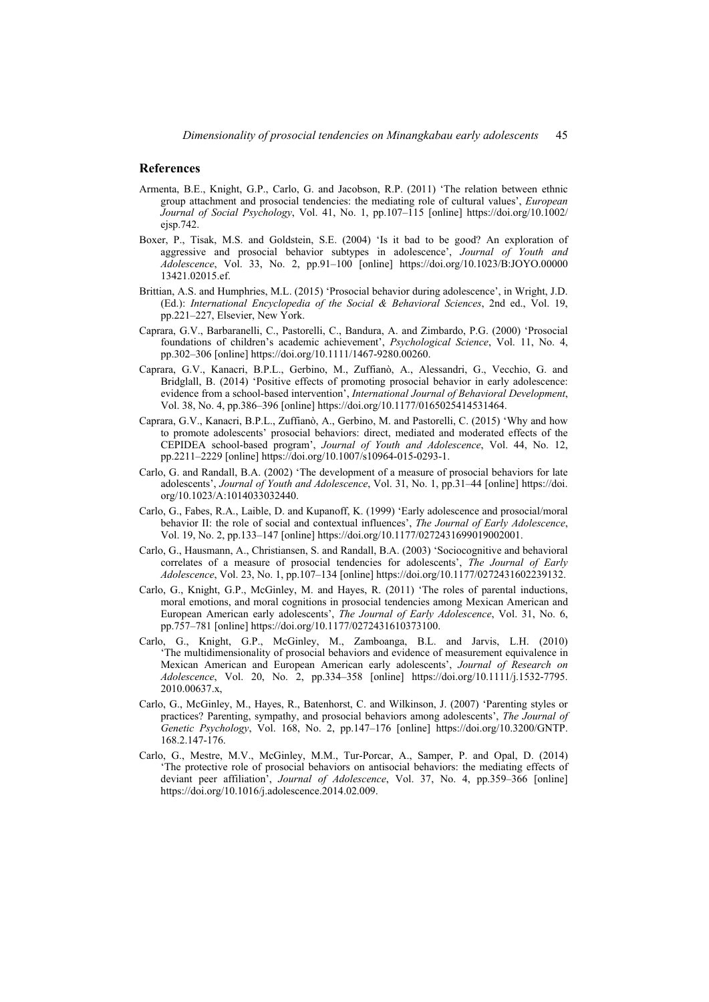#### **References**

- Armenta, B.E., Knight, G.P., Carlo, G. and Jacobson, R.P. (2011) 'The relation between ethnic group attachment and prosocial tendencies: the mediating role of cultural values', *European Journal of Social Psychology*, Vol. 41, No. 1, pp.107–115 [online] https://doi.org/10.1002/ ejsp.742.
- Boxer, P., Tisak, M.S. and Goldstein, S.E. (2004) 'Is it bad to be good? An exploration of aggressive and prosocial behavior subtypes in adolescence', *Journal of Youth and Adolescence*, Vol. 33, No. 2, pp.91–100 [online] https://doi.org/10.1023/B:JOYO.00000 13421.02015.ef.
- Brittian, A.S. and Humphries, M.L. (2015) 'Prosocial behavior during adolescence', in Wright, J.D. (Ed.): *International Encyclopedia of the Social & Behavioral Sciences*, 2nd ed., Vol. 19, pp.221–227, Elsevier, New York.
- Caprara, G.V., Barbaranelli, C., Pastorelli, C., Bandura, A. and Zimbardo, P.G. (2000) 'Prosocial foundations of children's academic achievement', *Psychological Science*, Vol. 11, No. 4, pp.302–306 [online] https://doi.org/10.1111/1467-9280.00260.
- Caprara, G.V., Kanacri, B.P.L., Gerbino, M., Zuffianò, A., Alessandri, G., Vecchio, G. and Bridglall, B. (2014) 'Positive effects of promoting prosocial behavior in early adolescence: evidence from a school-based intervention', *International Journal of Behavioral Development*, Vol. 38, No. 4, pp.386–396 [online] https://doi.org/10.1177/0165025414531464.
- Caprara, G.V., Kanacri, B.P.L., Zuffianò, A., Gerbino, M. and Pastorelli, C. (2015) 'Why and how to promote adolescents' prosocial behaviors: direct, mediated and moderated effects of the CEPIDEA school-based program', *Journal of Youth and Adolescence*, Vol. 44, No. 12, pp.2211–2229 [online] https://doi.org/10.1007/s10964-015-0293-1.
- Carlo, G. and Randall, B.A. (2002) 'The development of a measure of prosocial behaviors for late adolescents', *Journal of Youth and Adolescence*, Vol. 31, No. 1, pp.31–44 [online] https://doi. org/10.1023/A:1014033032440.
- Carlo, G., Fabes, R.A., Laible, D. and Kupanoff, K. (1999) 'Early adolescence and prosocial/moral behavior II: the role of social and contextual influences', *The Journal of Early Adolescence*, Vol. 19, No. 2, pp.133–147 [online] https://doi.org/10.1177/0272431699019002001.
- Carlo, G., Hausmann, A., Christiansen, S. and Randall, B.A. (2003) 'Sociocognitive and behavioral correlates of a measure of prosocial tendencies for adolescents', *The Journal of Early Adolescence*, Vol. 23, No. 1, pp.107–134 [online] https://doi.org/10.1177/0272431602239132.
- Carlo, G., Knight, G.P., McGinley, M. and Hayes, R. (2011) 'The roles of parental inductions, moral emotions, and moral cognitions in prosocial tendencies among Mexican American and European American early adolescents', *The Journal of Early Adolescence*, Vol. 31, No. 6, pp.757–781 [online] https://doi.org/10.1177/0272431610373100.
- Carlo, G., Knight, G.P., McGinley, M., Zamboanga, B.L. and Jarvis, L.H. (2010) 'The multidimensionality of prosocial behaviors and evidence of measurement equivalence in Mexican American and European American early adolescents', *Journal of Research on Adolescence*, Vol. 20, No. 2, pp.334–358 [online] https://doi.org/10.1111/j.1532-7795. 2010.00637.x,
- Carlo, G., McGinley, M., Hayes, R., Batenhorst, C. and Wilkinson, J. (2007) 'Parenting styles or practices? Parenting, sympathy, and prosocial behaviors among adolescents', *The Journal of Genetic Psychology*, Vol. 168, No. 2, pp.147–176 [online] https://doi.org/10.3200/GNTP. 168.2.147-176.
- Carlo, G., Mestre, M.V., McGinley, M.M., Tur-Porcar, A., Samper, P. and Opal, D. (2014) 'The protective role of prosocial behaviors on antisocial behaviors: the mediating effects of deviant peer affiliation', *Journal of Adolescence*, Vol. 37, No. 4, pp.359–366 [online] https://doi.org/10.1016/j.adolescence.2014.02.009.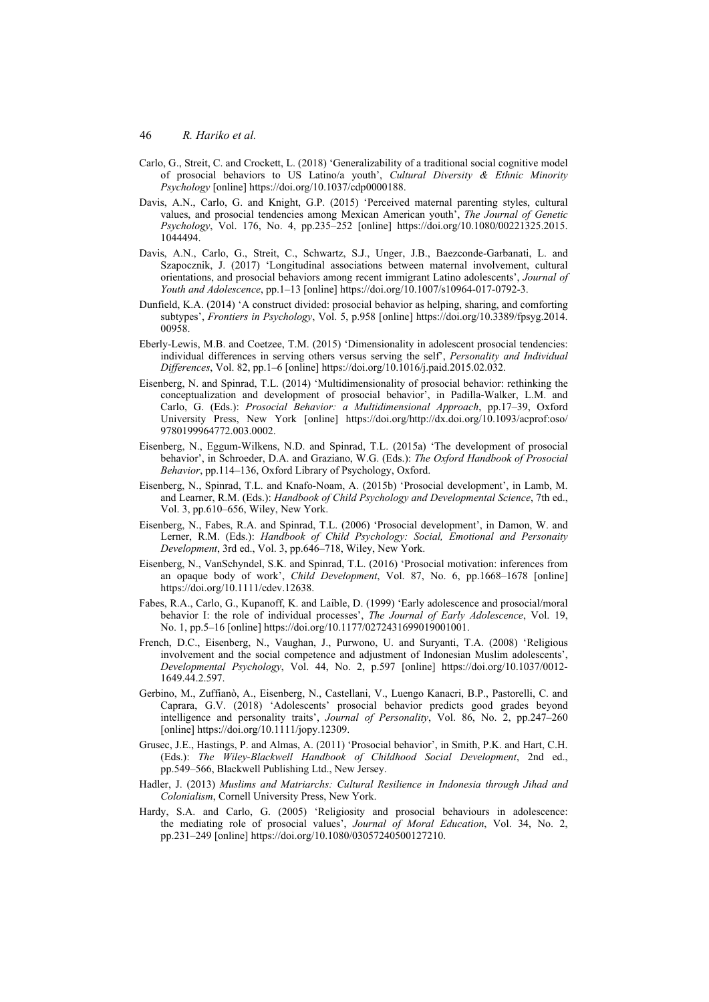- Carlo, G., Streit, C. and Crockett, L. (2018) 'Generalizability of a traditional social cognitive model of prosocial behaviors to US Latino/a youth', *Cultural Diversity & Ethnic Minority Psychology* [online] https://doi.org/10.1037/cdp0000188.
- Davis, A.N., Carlo, G. and Knight, G.P. (2015) 'Perceived maternal parenting styles, cultural values, and prosocial tendencies among Mexican American youth', *The Journal of Genetic Psychology*, Vol. 176, No. 4, pp.235–252 [online] https://doi.org/10.1080/00221325.2015. 1044494.
- Davis, A.N., Carlo, G., Streit, C., Schwartz, S.J., Unger, J.B., Baezconde-Garbanati, L. and Szapocznik, J. (2017) 'Longitudinal associations between maternal involvement, cultural orientations, and prosocial behaviors among recent immigrant Latino adolescents', *Journal of Youth and Adolescence*, pp.1–13 [online] https://doi.org/10.1007/s10964-017-0792-3.
- Dunfield, K.A. (2014) 'A construct divided: prosocial behavior as helping, sharing, and comforting subtypes', *Frontiers in Psychology*, Vol. 5, p.958 [online] https://doi.org/10.3389/fpsyg.2014. 00958.
- Eberly-Lewis, M.B. and Coetzee, T.M. (2015) 'Dimensionality in adolescent prosocial tendencies: individual differences in serving others versus serving the self', *Personality and Individual Differences*, Vol. 82, pp.1–6 [online] https://doi.org/10.1016/j.paid.2015.02.032.
- Eisenberg, N. and Spinrad, T.L. (2014) 'Multidimensionality of prosocial behavior: rethinking the conceptualization and development of prosocial behavior', in Padilla-Walker, L.M. and Carlo, G. (Eds.): *Prosocial Behavior: a Multidimensional Approach*, pp.17–39, Oxford University Press, New York [online] https://doi.org/http://dx.doi.org/10.1093/acprof:oso/ 9780199964772.003.0002.
- Eisenberg, N., Eggum-Wilkens, N.D. and Spinrad, T.L. (2015a) 'The development of prosocial behavior', in Schroeder, D.A. and Graziano, W.G. (Eds.): *The Oxford Handbook of Prosocial Behavior*, pp.114–136, Oxford Library of Psychology, Oxford.
- Eisenberg, N., Spinrad, T.L. and Knafo-Noam, A. (2015b) 'Prosocial development', in Lamb, M. and Learner, R.M. (Eds.): *Handbook of Child Psychology and Developmental Science*, 7th ed., Vol. 3, pp.610–656, Wiley, New York.
- Eisenberg, N., Fabes, R.A. and Spinrad, T.L. (2006) 'Prosocial development', in Damon, W. and Lerner, R.M. (Eds.): *Handbook of Child Psychology: Social, Emotional and Personaity Development*, 3rd ed., Vol. 3, pp.646–718, Wiley, New York.
- Eisenberg, N., VanSchyndel, S.K. and Spinrad, T.L. (2016) 'Prosocial motivation: inferences from an opaque body of work', *Child Development*, Vol. 87, No. 6, pp.1668–1678 [online] https://doi.org/10.1111/cdev.12638.
- Fabes, R.A., Carlo, G., Kupanoff, K. and Laible, D. (1999) 'Early adolescence and prosocial/moral behavior I: the role of individual processes', *The Journal of Early Adolescence*, Vol. 19, No. 1, pp.5–16 [online] https://doi.org/10.1177/0272431699019001001.
- French, D.C., Eisenberg, N., Vaughan, J., Purwono, U. and Suryanti, T.A. (2008) 'Religious involvement and the social competence and adjustment of Indonesian Muslim adolescents', *Developmental Psychology*, Vol. 44, No. 2, p.597 [online] https://doi.org/10.1037/0012- 1649.44.2.597.
- Gerbino, M., Zuffianò, A., Eisenberg, N., Castellani, V., Luengo Kanacri, B.P., Pastorelli, C. and Caprara, G.V. (2018) 'Adolescents' prosocial behavior predicts good grades beyond intelligence and personality traits', *Journal of Personality*, Vol. 86, No. 2, pp.247–260 [online] https://doi.org/10.1111/jopy.12309.
- Grusec, J.E., Hastings, P. and Almas, A. (2011) 'Prosocial behavior', in Smith, P.K. and Hart, C.H. (Eds.): *The Wiley-Blackwell Handbook of Childhood Social Development*, 2nd ed., pp.549–566, Blackwell Publishing Ltd., New Jersey.
- Hadler, J. (2013) *Muslims and Matriarchs: Cultural Resilience in Indonesia through Jihad and Colonialism*, Cornell University Press, New York.
- Hardy, S.A. and Carlo, G. (2005) 'Religiosity and prosocial behaviours in adolescence: the mediating role of prosocial values', *Journal of Moral Education*, Vol. 34, No. 2, pp.231–249 [online] https://doi.org/10.1080/03057240500127210.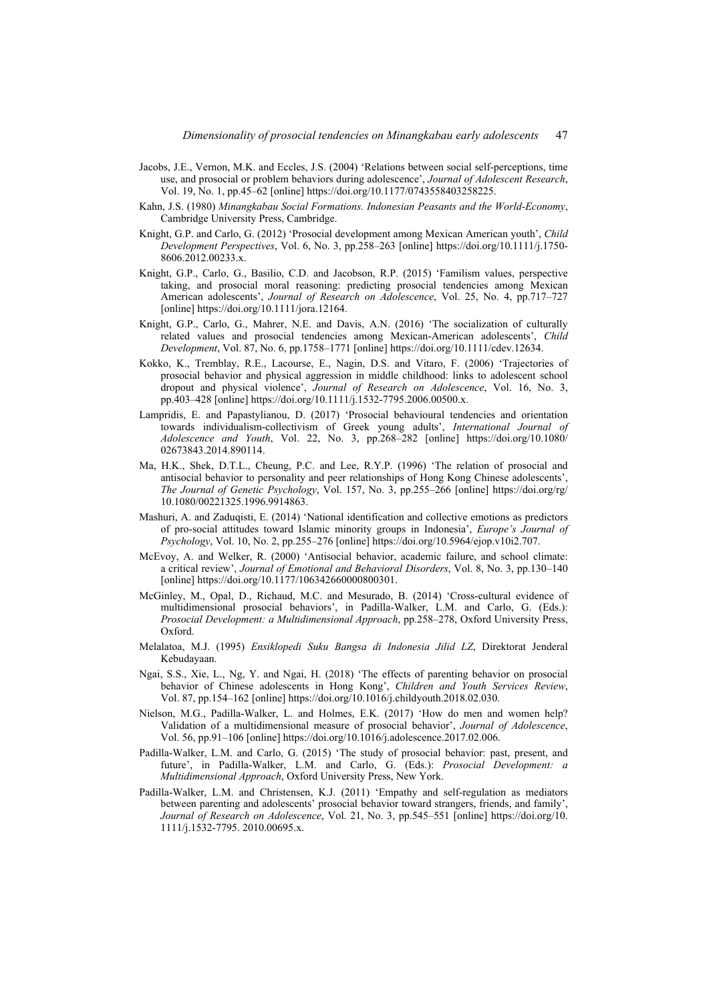- Jacobs, J.E., Vernon, M.K. and Eccles, J.S. (2004) 'Relations between social self-perceptions, time use, and prosocial or problem behaviors during adolescence', *Journal of Adolescent Research*, Vol. 19, No. 1, pp.45–62 [online] https://doi.org/10.1177/0743558403258225.
- Kahn, J.S. (1980) *Minangkabau Social Formations. Indonesian Peasants and the World-Economy*, Cambridge University Press, Cambridge.
- Knight, G.P. and Carlo, G. (2012) 'Prosocial development among Mexican American youth', *Child Development Perspectives*, Vol. 6, No. 3, pp.258–263 [online] https://doi.org/10.1111/j.1750- 8606.2012.00233.x.
- Knight, G.P., Carlo, G., Basilio, C.D. and Jacobson, R.P. (2015) 'Familism values, perspective taking, and prosocial moral reasoning: predicting prosocial tendencies among Mexican American adolescents', *Journal of Research on Adolescence*, Vol. 25, No. 4, pp.717–727 [online] https://doi.org/10.1111/jora.12164.
- Knight, G.P., Carlo, G., Mahrer, N.E. and Davis, A.N. (2016) 'The socialization of culturally related values and prosocial tendencies among Mexican-American adolescents', *Child Development*, Vol. 87, No. 6, pp.1758–1771 [online] https://doi.org/10.1111/cdev.12634.
- Kokko, K., Tremblay, R.E., Lacourse, E., Nagin, D.S. and Vitaro, F. (2006) 'Trajectories of prosocial behavior and physical aggression in middle childhood: links to adolescent school dropout and physical violence', *Journal of Research on Adolescence*, Vol. 16, No. 3, pp.403–428 [online] https://doi.org/10.1111/j.1532-7795.2006.00500.x.
- Lampridis, E. and Papastylianou, D. (2017) 'Prosocial behavioural tendencies and orientation towards individualism-collectivism of Greek young adults', *International Journal of Adolescence and Youth*, Vol. 22, No. 3, pp.268–282 [online] https://doi.org/10.1080/ 02673843.2014.890114.
- Ma, H.K., Shek, D.T.L., Cheung, P.C. and Lee, R.Y.P. (1996) 'The relation of prosocial and antisocial behavior to personality and peer relationships of Hong Kong Chinese adolescents', *The Journal of Genetic Psychology*, Vol. 157, No. 3, pp.255–266 [online] https://doi.org/rg/ 10.1080/00221325.1996.9914863.
- Mashuri, A. and Zaduqisti, E. (2014) 'National identification and collective emotions as predictors of pro-social attitudes toward Islamic minority groups in Indonesia', *Europe's Journal of Psychology*, Vol. 10, No. 2, pp.255–276 [online] https://doi.org/10.5964/ejop.v10i2.707.
- McEvoy, A. and Welker, R. (2000) 'Antisocial behavior, academic failure, and school climate: a critical review', *Journal of Emotional and Behavioral Disorders*, Vol. 8, No. 3, pp.130–140 [online] https://doi.org/10.1177/106342660000800301.
- McGinley, M., Opal, D., Richaud, M.C. and Mesurado, B. (2014) 'Cross-cultural evidence of multidimensional prosocial behaviors', in Padilla-Walker, L.M. and Carlo, G. (Eds.): *Prosocial Development: a Multidimensional Approach*, pp.258–278, Oxford University Press, Oxford.
- Melalatoa, M.J. (1995) *Ensiklopedi Suku Bangsa di Indonesia Jilid LZ*, Direktorat Jenderal Kebudayaan.
- Ngai, S.S., Xie, L., Ng, Y. and Ngai, H. (2018) 'The effects of parenting behavior on prosocial behavior of Chinese adolescents in Hong Kong', *Children and Youth Services Review*, Vol. 87, pp.154–162 [online] https://doi.org/10.1016/j.childyouth.2018.02.030.
- Nielson, M.G., Padilla-Walker, L. and Holmes, E.K. (2017) 'How do men and women help? Validation of a multidimensional measure of prosocial behavior', *Journal of Adolescence*, Vol. 56, pp.91–106 [online] https://doi.org/10.1016/j.adolescence.2017.02.006.
- Padilla-Walker, L.M. and Carlo, G. (2015) 'The study of prosocial behavior: past, present, and future', in Padilla-Walker, L.M. and Carlo, G. (Eds.): *Prosocial Development: a Multidimensional Approach*, Oxford University Press, New York.
- Padilla-Walker, L.M. and Christensen, K.J. (2011) 'Empathy and self-regulation as mediators between parenting and adolescents' prosocial behavior toward strangers, friends, and family', *Journal of Research on Adolescence*, Vol. 21, No. 3, pp.545–551 [online] https://doi.org/10. 1111/j.1532-7795. 2010.00695.x.